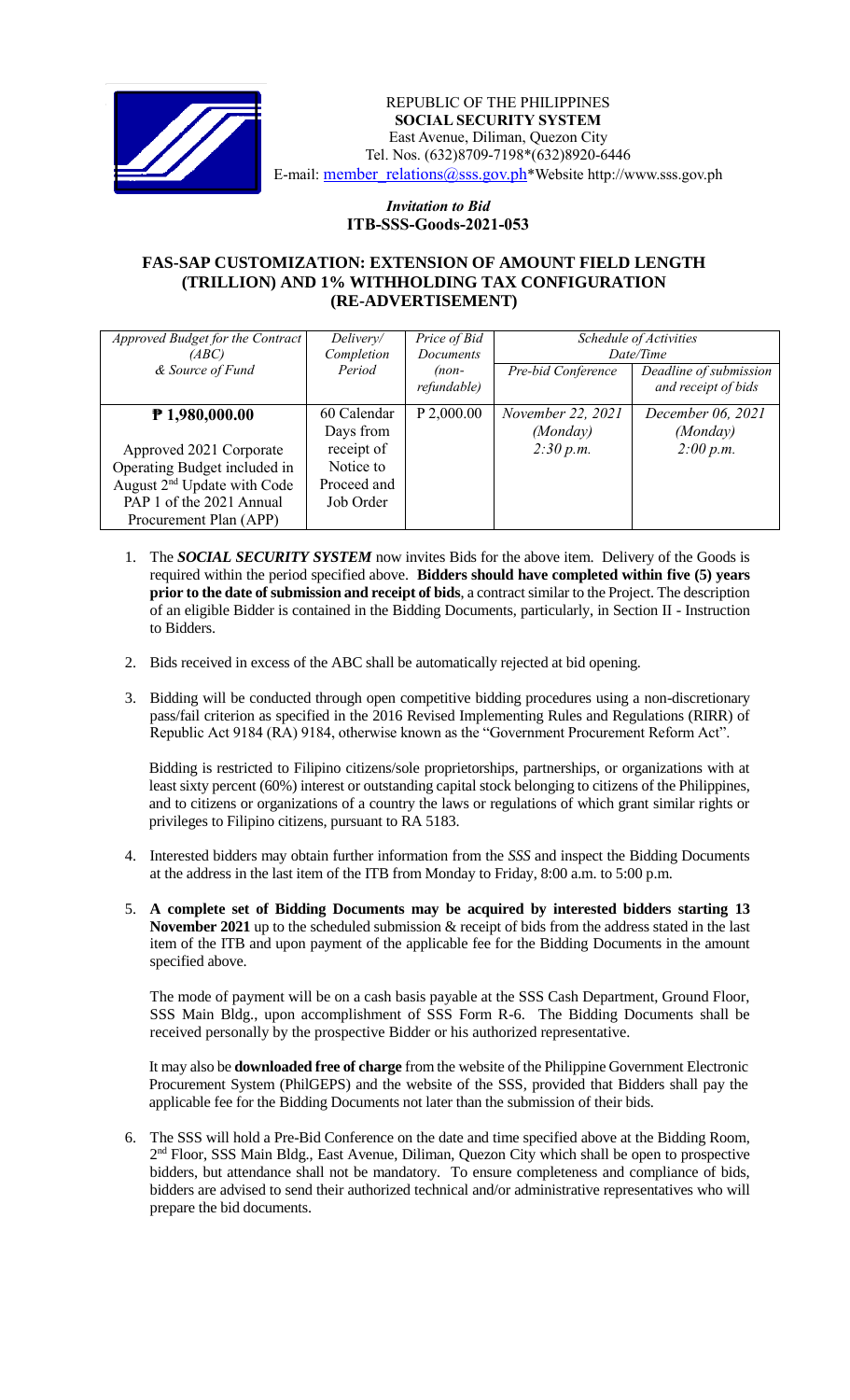

 *Invitation to Bid* REPUBLIC OF THE PHILIPPINES  **SOCIAL SECURITY SYSTEM** East Avenue, Diliman, Quezon City Tel. Nos. (632)8709-7198\*(632)8920-6446 E-mail: member\_relations@sss.gov.ph\*Website http://www.sss.gov.ph

## *Invitation to Bid*  **ITB-SSS-Goods-2021-053**

## **FAS-SAP CUSTOMIZATION: EXTENSION OF AMOUNT FIELD LENGTH (TRILLION) AND 1% WITHHOLDING TAX CONFIGURATION (RE-ADVERTISEMENT)**

| Approved Budget for the Contract        | Delivery/   | Price of Bid | Schedule of Activities<br>Date/Time |                        |
|-----------------------------------------|-------------|--------------|-------------------------------------|------------------------|
| (ABC)                                   | Completion  | Documents    |                                     |                        |
| & Source of Fund                        | Period      | $(non-$      | Pre-bid Conference                  | Deadline of submission |
|                                         |             | refundable)  |                                     | and receipt of bids    |
| $P$ 1,980,000.00                        | 60 Calendar | P 2,000.00   | November 22, 2021                   | December 06, 2021      |
|                                         | Days from   |              | (Monday)                            | (Monday)               |
| Approved 2021 Corporate                 | receipt of  |              | 2:30 p.m.                           | 2:00 p.m.              |
| Operating Budget included in            | Notice to   |              |                                     |                        |
| August 2 <sup>nd</sup> Update with Code | Proceed and |              |                                     |                        |
| PAP 1 of the 2021 Annual                | Job Order   |              |                                     |                        |
| Procurement Plan (APP)                  |             |              |                                     |                        |

- 1. The *SOCIAL SECURITY SYSTEM* now invites Bids for the above item. Delivery of the Goods is required within the period specified above. **Bidders should have completed within five (5) years prior to the date of submission and receipt of bids**, a contract similar to the Project. The description of an eligible Bidder is contained in the Bidding Documents, particularly, in Section II - Instruction to Bidders.
- 2. Bids received in excess of the ABC shall be automatically rejected at bid opening.
- 3. Bidding will be conducted through open competitive bidding procedures using a non-discretionary pass/fail criterion as specified in the 2016 Revised Implementing Rules and Regulations (RIRR) of Republic Act 9184 (RA) 9184, otherwise known as the "Government Procurement Reform Act".

Bidding is restricted to Filipino citizens/sole proprietorships, partnerships, or organizations with at least sixty percent (60%) interest or outstanding capital stock belonging to citizens of the Philippines, and to citizens or organizations of a country the laws or regulations of which grant similar rights or privileges to Filipino citizens, pursuant to RA 5183.

- 4. Interested bidders may obtain further information from the *SSS* and inspect the Bidding Documents at the address in the last item of the ITB from Monday to Friday, 8:00 a.m. to 5:00 p.m.
- 5. **A complete set of Bidding Documents may be acquired by interested bidders starting 13 November 2021** up to the scheduled submission & receipt of bids from the address stated in the last item of the ITB and upon payment of the applicable fee for the Bidding Documents in the amount specified above.

The mode of payment will be on a cash basis payable at the SSS Cash Department, Ground Floor, SSS Main Bldg., upon accomplishment of SSS Form R-6. The Bidding Documents shall be received personally by the prospective Bidder or his authorized representative.

It may also be **downloaded free of charge** from the website of the Philippine Government Electronic Procurement System (PhilGEPS) and the website of the SSS*,* provided that Bidders shall pay the applicable fee for the Bidding Documents not later than the submission of their bids.

6. The SSS will hold a Pre-Bid Conference on the date and time specified above at the Bidding Room, 2<sup>nd</sup> Floor, SSS Main Bldg., East Avenue, Diliman, Quezon City which shall be open to prospective bidders, but attendance shall not be mandatory. To ensure completeness and compliance of bids, bidders are advised to send their authorized technical and/or administrative representatives who will prepare the bid documents.